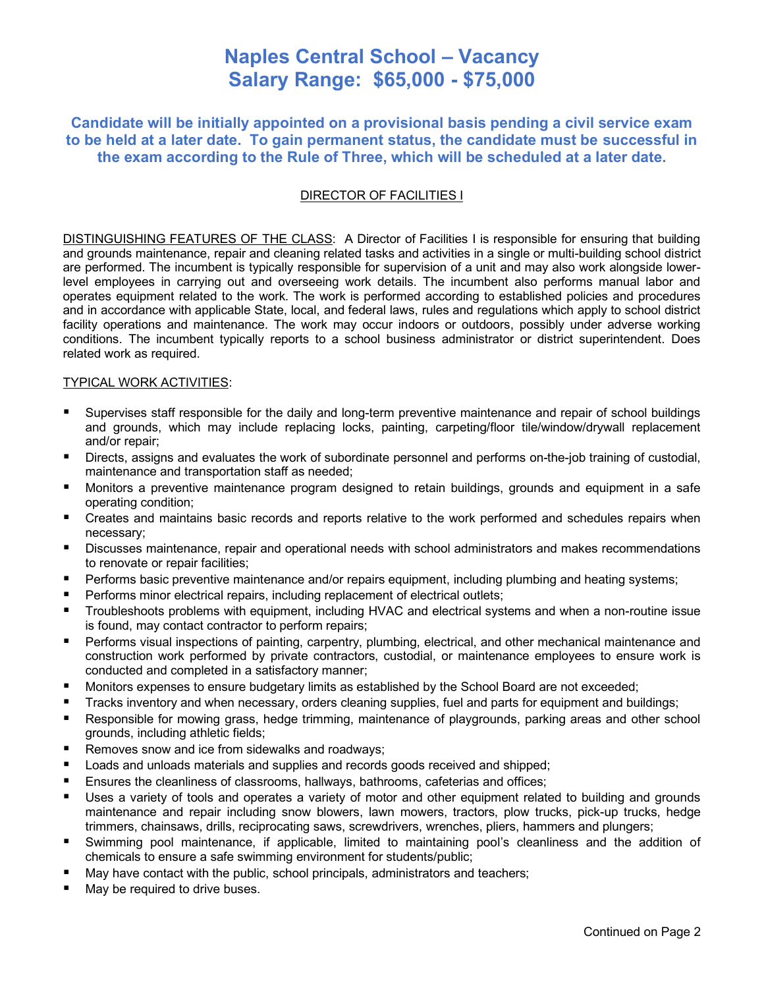# **Naples Central School – Vacancy Salary Range: \$65,000 - \$75,000**

**Candidate will be initially appointed on a provisional basis pending a civil service exam to be held at a later date. To gain permanent status, the candidate must be successful in the exam according to the Rule of Three, which will be scheduled at a later date.**

## DIRECTOR OF FACILITIES I

DISTINGUISHING FEATURES OF THE CLASS: A Director of Facilities I is responsible for ensuring that building and grounds maintenance, repair and cleaning related tasks and activities in a single or multi-building school district are performed. The incumbent is typically responsible for supervision of a unit and may also work alongside lowerlevel employees in carrying out and overseeing work details. The incumbent also performs manual labor and operates equipment related to the work. The work is performed according to established policies and procedures and in accordance with applicable State, local, and federal laws, rules and regulations which apply to school district facility operations and maintenance. The work may occur indoors or outdoors, possibly under adverse working conditions. The incumbent typically reports to a school business administrator or district superintendent. Does related work as required.

### TYPICAL WORK ACTIVITIES:

- Supervises staff responsible for the daily and long-term preventive maintenance and repair of school buildings and grounds, which may include replacing locks, painting, carpeting/floor tile/window/drywall replacement and/or repair;
- Directs, assigns and evaluates the work of subordinate personnel and performs on-the-job training of custodial, maintenance and transportation staff as needed;
- Monitors a preventive maintenance program designed to retain buildings, grounds and equipment in a safe operating condition;
- Creates and maintains basic records and reports relative to the work performed and schedules repairs when necessary;
- Discusses maintenance, repair and operational needs with school administrators and makes recommendations to renovate or repair facilities;
- **•** Performs basic preventive maintenance and/or repairs equipment, including plumbing and heating systems;
- Performs minor electrical repairs, including replacement of electrical outlets;
- Troubleshoots problems with equipment, including HVAC and electrical systems and when a non-routine issue is found, may contact contractor to perform repairs;
- Performs visual inspections of painting, carpentry, plumbing, electrical, and other mechanical maintenance and construction work performed by private contractors, custodial, or maintenance employees to ensure work is conducted and completed in a satisfactory manner;
- Monitors expenses to ensure budgetary limits as established by the School Board are not exceeded;
- Tracks inventory and when necessary, orders cleaning supplies, fuel and parts for equipment and buildings;
- Responsible for mowing grass, hedge trimming, maintenance of playgrounds, parking areas and other school grounds, including athletic fields;
- Removes snow and ice from sidewalks and roadways;
- Loads and unloads materials and supplies and records goods received and shipped;
- Ensures the cleanliness of classrooms, hallways, bathrooms, cafeterias and offices;
- Uses a variety of tools and operates a variety of motor and other equipment related to building and grounds maintenance and repair including snow blowers, lawn mowers, tractors, plow trucks, pick-up trucks, hedge trimmers, chainsaws, drills, reciprocating saws, screwdrivers, wrenches, pliers, hammers and plungers;
- Swimming pool maintenance, if applicable, limited to maintaining pool's cleanliness and the addition of chemicals to ensure a safe swimming environment for students/public;
- May have contact with the public, school principals, administrators and teachers;
- May be required to drive buses.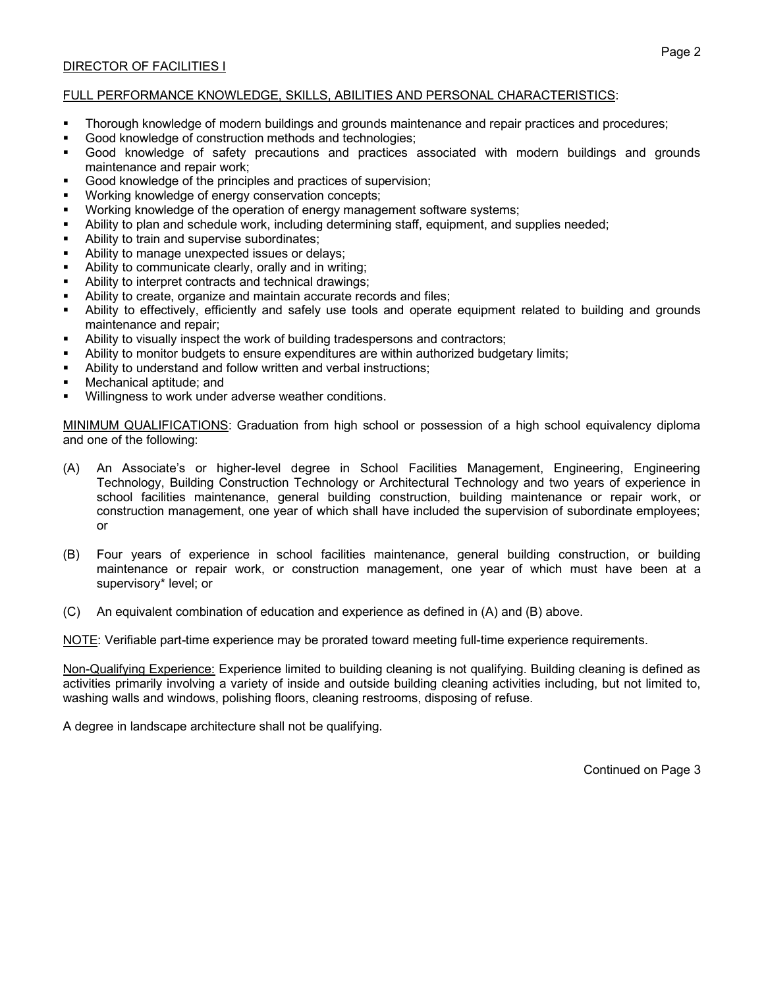# DIRECTOR OF FACILITIES I

# FULL PERFORMANCE KNOWLEDGE, SKILLS, ABILITIES AND PERSONAL CHARACTERISTICS:

- Thorough knowledge of modern buildings and grounds maintenance and repair practices and procedures;
- Good knowledge of construction methods and technologies;
- Good knowledge of safety precautions and practices associated with modern buildings and grounds maintenance and repair work;
- Good knowledge of the principles and practices of supervision;
- Working knowledge of energy conservation concepts;
- Working knowledge of the operation of energy management software systems;
- Ability to plan and schedule work, including determining staff, equipment, and supplies needed;
- Ability to train and supervise subordinates;
- Ability to manage unexpected issues or delays;
- Ability to communicate clearly, orally and in writing;
- Ability to interpret contracts and technical drawings;
- Ability to create, organize and maintain accurate records and files;
- Ability to effectively, efficiently and safely use tools and operate equipment related to building and grounds maintenance and repair;
- Ability to visually inspect the work of building tradespersons and contractors;
- Ability to monitor budgets to ensure expenditures are within authorized budgetary limits;
- Ability to understand and follow written and verbal instructions;
- Mechanical aptitude; and
- Willingness to work under adverse weather conditions.

MINIMUM QUALIFICATIONS: Graduation from high school or possession of a high school equivalency diploma and one of the following:

- (A) An Associate's or higher-level degree in School Facilities Management, Engineering, Engineering Technology, Building Construction Technology or Architectural Technology and two years of experience in school facilities maintenance, general building construction, building maintenance or repair work, or construction management, one year of which shall have included the supervision of subordinate employees; or
- (B) Four years of experience in school facilities maintenance, general building construction, or building maintenance or repair work, or construction management, one year of which must have been at a supervisory\* level; or
- (C) An equivalent combination of education and experience as defined in (A) and (B) above.

NOTE: Verifiable part-time experience may be prorated toward meeting full-time experience requirements.

Non-Qualifying Experience: Experience limited to building cleaning is not qualifying. Building cleaning is defined as activities primarily involving a variety of inside and outside building cleaning activities including, but not limited to, washing walls and windows, polishing floors, cleaning restrooms, disposing of refuse.

A degree in landscape architecture shall not be qualifying.

Continued on Page 3